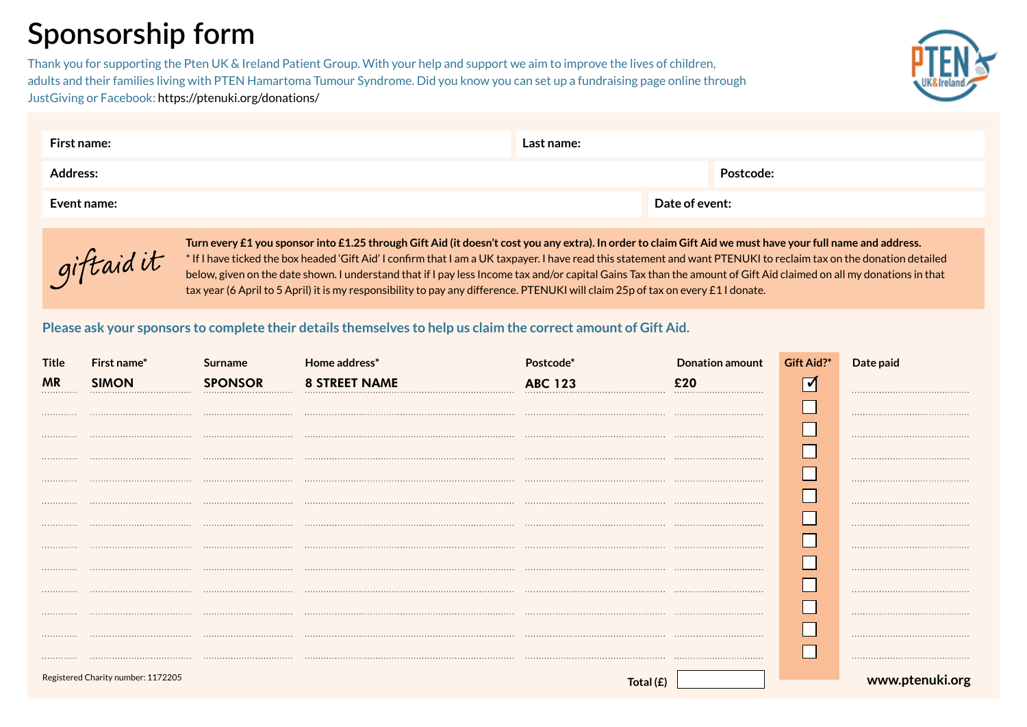## **Sponsorship form**

Thank you for supporting the Pten UK & Ireland Patient Group. With your help and support we aim to improve the lives of children, adults and their families living with PTEN Hamartoma Tumour Syndrome. Did you know you can set up a fundraising page online through JustGiving or Facebook: https://ptenuki.org/donations/



| First name:     | Last name: |                |
|-----------------|------------|----------------|
| <b>Address:</b> |            | Postcode:      |
| Event name:     |            | Date of event: |



**Turn every £1 you sponsor into £1.25 through Gift Aid (it doesn't cost you any extra). In order to claim Gift Aid we must have your full name and address.** \* If I have ticked the box headed 'Gift Aid' I confirm that I am a UK taxpayer. I have read this statement and want PTENUKI to reclaim tax on the donation detailed below, given on the date shown. I understand that if I pay less Income tax and/or capital Gains Tax than the amount of Gift Aid claimed on all my donations in that tax year (6 April to 5 April) it is my responsibility to pay any difference. PTENUKI will claim 25p of tax on every £1 I donate.

## **Please ask your sponsors to complete their details themselves to help us claim the correct amount of Gift Aid.**

| <b>Title</b>  | First name*                        | Surname | <b>Home address</b>  |          | <b>Donation amount</b> | Gift Aid?* | Date paid            |
|---------------|------------------------------------|---------|----------------------|----------|------------------------|------------|----------------------|
| <b>MR</b><br> | <b>SIMON</b><br>                   |         | <b>8 STREET NAME</b> |          |                        | ✓          |                      |
|               |                                    |         |                      |          |                        |            |                      |
| .             |                                    |         |                      |          |                        |            |                      |
| .             |                                    |         |                      |          |                        |            |                      |
|               |                                    |         |                      |          |                        |            |                      |
| .             |                                    |         |                      |          |                        |            |                      |
|               |                                    |         |                      |          |                        |            |                      |
| .             |                                    |         |                      |          |                        |            |                      |
| .             |                                    |         |                      |          |                        |            |                      |
| .             |                                    |         |                      |          |                        |            |                      |
|               |                                    |         |                      |          |                        |            |                      |
| .             |                                    |         |                      |          |                        |            |                      |
|               |                                    |         |                      |          |                        |            |                      |
| .             |                                    |         |                      |          |                        |            |                      |
|               |                                    |         |                      |          |                        |            |                      |
|               | Registered Charity number: 1172205 |         |                      | Total (£ |                        |            | www.ptenul<br>ki.org |